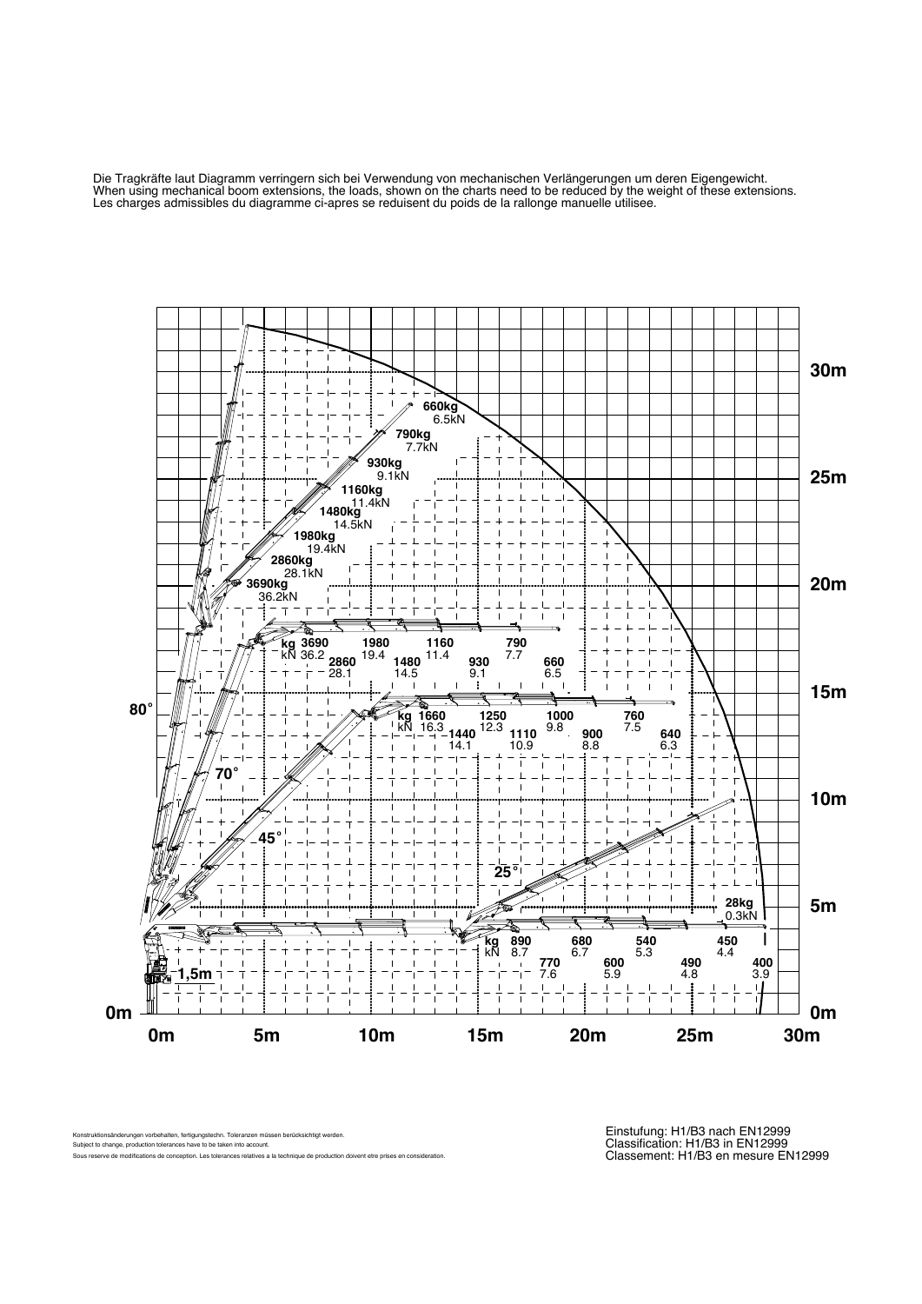Die Tragkräfte laut Diagramm verringern sich bei Verwendung von mechanischen Verlängerungen um deren Eigengewicht. When using mechanical boom extensions, the loads, shown on the charts need to be reduced by the weight of these extensions. Les charges admissibles du diagramme ci-apres se reduisent du poids de la rallonge manuelle utilisee.



Konstruktionsänderungen vorbehalten, fertigungstechn. Toleranzen müssen berücksichtigt werden. Subject to change, production tolerances have to be taken into account. Sous reserve de modifications de conception. Les tolerances relatives a la technique de production doivent etre prises en consideration.

Einstufung: H1/B3 nach EN12999 Classification: H1/B3 in EN12999 Classement: H1/B3 en mesure EN12999